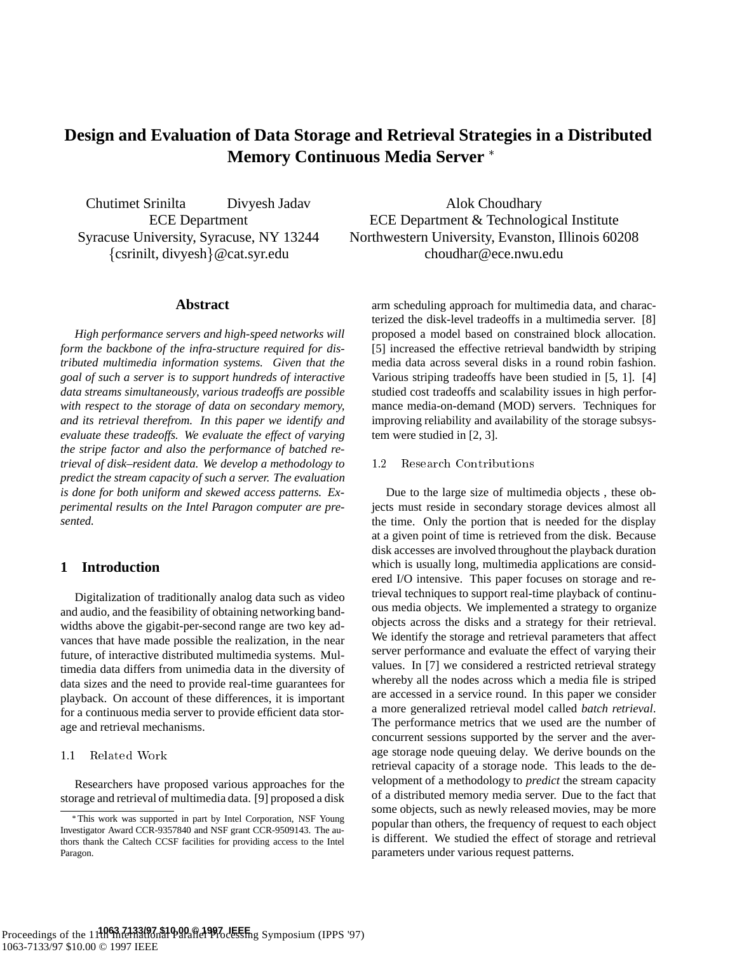# **Design and Evaluation of Data Storage and Retrieval Strategies in a Distributed Memory Continuous Media Server**

Chutimet Srinilta Divyesh Jadav ECE Department Syracuse University, Syracuse, NY 13244  $\{$  csrinilt, divyesh $\}$ @cat.syr.edu

### **Abstract**

*High performance servers and high-speed networks will form the backbone of the infra-structure required for distributed multimedia information systems. Given that the goal of such a server is to support hundreds of interactive data streams simultaneously, various tradeoffs are possible with respect to the storage of data on secondary memory, and its retrieval therefrom. In this paper we identify and evaluate these tradeoffs. We evaluate the effect of varying the stripe factor and also the performance of batched retrieval of disk–resident data. We develop a methodology to predict the stream capacity of such a server. The evaluation is done for both uniform and skewed access patterns. Experimental results on the Intel Paragon computer are presented.*

### **1 Introduction**

Digitalization of traditionally analog data such as video and audio, and the feasibility of obtaining networking bandwidths above the gigabit-per-second range are two key advances that have made possible the realization, in the near future, of interactive distributed multimedia systems. Multimedia data differs from unimedia data in the diversity of data sizes and the need to provide real-time guarantees for playback. On account of these differences, it is important for a continuous media server to provide efficient data storage and retrieval mechanisms.

#### 1.1 Related Work

Researchers have proposed various approaches for the storage and retrieval of multimedia data. [9] proposed a disk

Alok Choudhary ECE Department & Technological Institute Northwestern University, Evanston, Illinois 60208 choudhar@ece.nwu.edu

arm scheduling approach for multimedia data, and characterized the disk-level tradeoffs in a multimedia server. [8] proposed a model based on constrained block allocation. [5] increased the effective retrieval bandwidth by striping media data across several disks in a round robin fashion. Various striping tradeoffs have been studied in [5, 1]. [4] studied cost tradeoffs and scalability issues in high performance media-on-demand (MOD) servers. Techniques for improving reliability and availability of the storage subsystem were studied in [2, 3].

#### 1.2 Research Contributions

Due to the large size of multimedia objects , these objects must reside in secondary storage devices almost all the time. Only the portion that is needed for the display at a given point of time is retrieved from the disk. Because disk accesses are involved throughout the playback duration which is usually long, multimedia applications are considered I/O intensive. This paper focuses on storage and retrieval techniques to support real-time playback of continuous media objects. We implemented a strategy to organize objects across the disks and a strategy for their retrieval. We identify the storage and retrieval parameters that affect server performance and evaluate the effect of varying their values. In [7] we considered a restricted retrieval strategy whereby all the nodes across which a media file is striped are accessed in a service round. In this paper we consider a more generalized retrieval model called *batch retrieval*. The performance metrics that we used are the number of concurrent sessions supported by the server and the average storage node queuing delay. We derive bounds on the retrieval capacity of a storage node. This leads to the development of a methodology to *predict* the stream capacity of a distributed memory media server. Due to the fact that some objects, such as newly released movies, may be more popular than others, the frequency of request to each object is different. We studied the effect of storage and retrieval parameters under various request patterns.

This work was supported in part by Intel Corporation, NSF Young Investigator Award CCR-9357840 and NSF grant CCR-9509143. The authors thank the Caltech CCSF facilities for providing access to the Intel Paragon.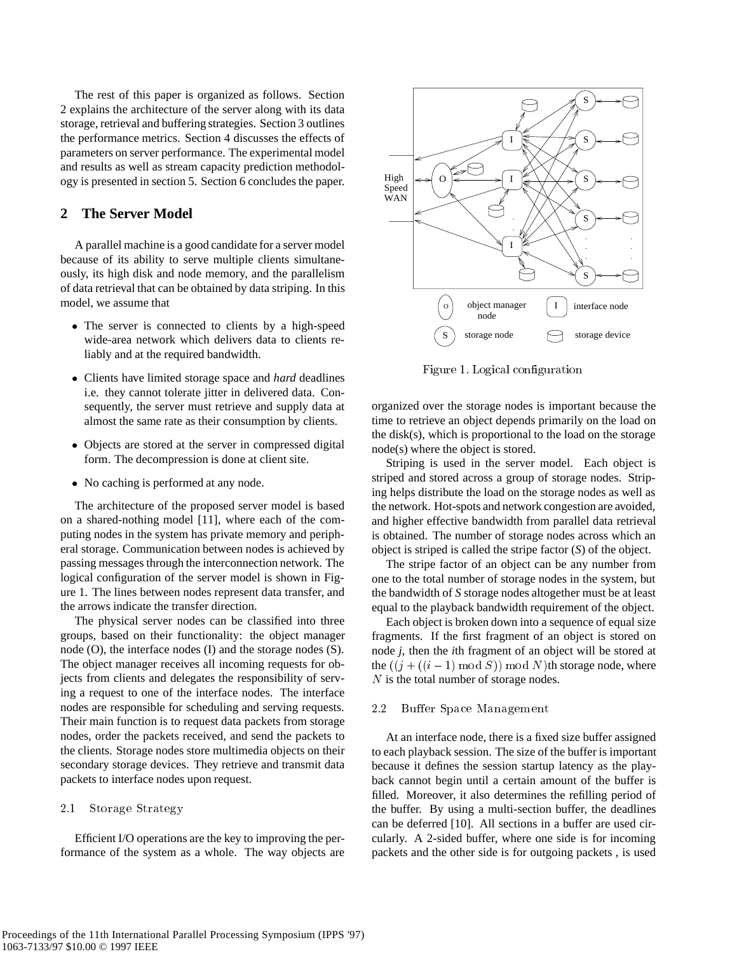The rest of this paper is organized as follows. Section 2 explains the architecture of the server along with its data storage, retrieval and buffering strategies. Section 3 outlines the performance metrics. Section 4 discusses the effects of parameters on server performance. The experimental model and results as well as stream capacity prediction methodology is presented in section 5. Section 6 concludes the paper.

# **2 The Server Model**

A parallel machine is a good candidate for a server model because of its ability to serve multiple clients simultaneously, its high disk and node memory, and the parallelism of data retrieval that can be obtained by data striping. In this model, we assume that

- The server is connected to clients by a high-speed wide-area network which delivers data to clients reliably and at the required bandwidth.
- Clients have limited storage space and *hard* deadlines i.e. they cannot tolerate jitter in delivered data. Consequently, the server must retrieve and supply data at almost the same rate as their consumption by clients.
- Objects are stored at the server in compressed digital form. The decompression is done at client site.
- No caching is performed at any node.

The architecture of the proposed server model is based on a shared-nothing model [11], where each of the computing nodes in the system has private memory and peripheral storage. Communication between nodes is achieved by passing messages through the interconnection network. The logical configuration of the server model is shown in Figure 1. The lines between nodes represent data transfer, and the arrows indicate the transfer direction.

The physical server nodes can be classified into three groups, based on their functionality: the object manager node (O), the interface nodes (I) and the storage nodes (S). The object manager receives all incoming requests for objects from clients and delegates the responsibility of serving a request to one of the interface nodes. The interface nodes are responsible for scheduling and serving requests. Their main function is to request data packets from storage nodes, order the packets received, and send the packets to the clients. Storage nodes store multimedia objects on their secondary storage devices. They retrieve and transmit data packets to interface nodes upon request.

### 2.1 Storage Strategy

Efficient I/O operations are the key to improving the performance of the system as a whole. The way objects are



Figure 1. Logical configuration

organized over the storage nodes is important because the time to retrieve an object depends primarily on the load on the disk(s), which is proportional to the load on the storage node(s) where the object is stored.

Striping is used in the server model. Each object is striped and stored across a group of storage nodes. Striping helps distribute the load on the storage nodes as well as the network. Hot-spots and network congestion are avoided, and higher effective bandwidth from parallel data retrieval is obtained. The number of storage nodes across which an object is striped is called the stripe factor (*S*) of the object.

The stripe factor of an object can be any number from one to the total number of storage nodes in the system, but the bandwidth of *S* storage nodes altogether must be at least equal to the playback bandwidth requirement of the object.

Each object is broken down into a sequence of equal size fragments. If the first fragment of an object is stored on node *j*, then the *i*th fragment of an object will be stored at the  $((j + ((i - 1) \mod S)) \mod N)$ th storage node, where N is the total number of storage nodes.

#### 2.2 Bu ffer Space Management

At an interface node, there is a fixed size buffer assigned to each playback session. The size of the buffer is important because it defines the session startup latency as the playback cannot begin until a certain amount of the buffer is filled. Moreover, it also determines the refilling period of the buffer. By using a multi-section buffer, the deadlines can be deferred [10]. All sections in a buffer are used circularly. A 2-sided buffer, where one side is for incoming packets and the other side is for outgoing packets , is used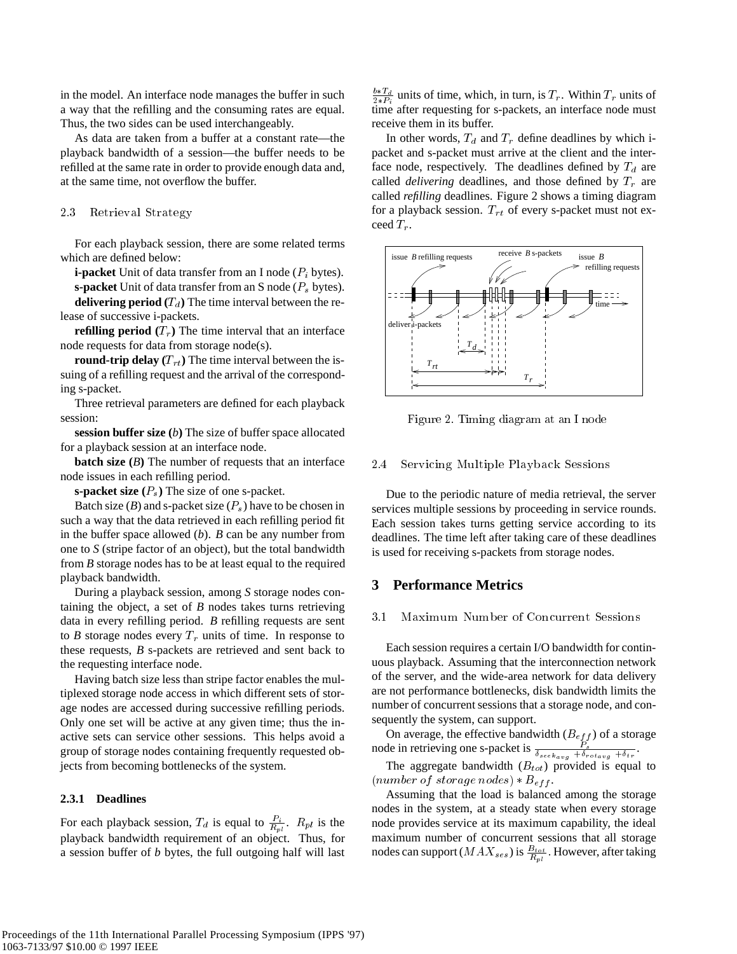in the model. An interface node manages the buffer in such a way that the refilling and the consuming rates are equal. Thus, the two sides can be used interchangeably.

As data are taken from a buffer at a constant rate—the playback bandwidth of a session—the buffer needs to be refilled at the same rate in order to provide enough data and, at the same time, not overflow the buffer.

### 2.3 Retrieval Strategy

For each playback session, there are some related terms which are defined below:

**i-packet** Unit of data transfer from an I node  $(P_i)$  bytes).

**s-packet** Unit of data transfer from an S node  $(P_s$  bytes).

**delivering period**  $(T_d)$  The time interval between the release of successive i-packets.

**refilling period**  $(T_r)$  The time interval that an interface node requests for data from storage node(s).

**round-trip delay**  $(T_{rt})$  The time interval between the issuing of a refilling request and the arrival of the corresponding s-packet.

Three retrieval parameters are defined for each playback session:

**session buffer size (***b***)** The size of buffer space allocated for a playback session at an interface node.

**batch size** (*B*) The number of requests that an interface node issues in each refilling period.

**s-packet size**  $(P_s)$  The size of one s-packet.

Batch size  $(B)$  and s-packet size  $(P_s)$  have to be chosen in such a way that the data retrieved in each refilling period fit in the buffer space allowed (*b*). *B* can be any number from one to *S* (stripe factor of an object), but the total bandwidth from *B* storage nodes has to be at least equal to the required playback bandwidth.

During a playback session, among *S* storage nodes containing the object, a set of *B* nodes takes turns retrieving data in every refilling period. *B* refilling requests are sent to *B* storage nodes every  $T_r$  units of time. In response to these requests, *B* s-packets are retrieved and sent back to the requesting interface node.

Having batch size less than stripe factor enables the multiplexed storage node access in which different sets of storage nodes are accessed during successive refilling periods. Only one set will be active at any given time; thus the inactive sets can service other sessions. This helps avoid a group of storage nodes containing frequently requested objects from becoming bottlenecks of the system.

#### **2.3.1 Deadlines**

For each playback session,  $T_d$  is equal to  $\frac{P_i}{R_{pl}}$ .  $R_{pl}$  is the playback bandwidth requirement of an object. Thus, for a session buffer of *b* bytes, the full outgoing half will last

 $\frac{b*T_d}{2*P_i}$  units of time, which, in turn, is  $T_r$ . Within  $T_r$  units of time after requesting for s-packets, an interface node must receive them in its buffer.

In other words,  $T_d$  and  $T_r$  define deadlines by which ipacket and s-packet must arrive at the client and the interface node, respectively. The deadlines defined by  $T_d$  are called *delivering* deadlines, and those defined by  $T_r$  are called *refilling* deadlines. Figure 2 shows a timing diagram for a playback session.  $T_{rt}$  of every s-packet must not exceed  $T_r$ .



Figure 2. Timing diagram at an I node

### 2.4 Servicing Multiple Playback Sessions

Due to the periodic nature of media retrieval, the server services multiple sessions by proceeding in service rounds. Each session takes turns getting service according to its deadlines. The time left after taking care of these deadlines is used for receiving s-packets from storage nodes.

# **3 Performance Metrics**

#### 3.1 Maximum Number of Concurrent Sessions

Each session requires a certain I/O bandwidth for continuous playback. Assuming that the interconnection network of the server, and the wide-area network for data delivery are not performance bottlenecks, disk bandwidth limits the number of concurrent sessions that a storage node, and consequently the system, can support.

On average, the effective bandwidth  $(B_{eff})$  of a storage node in retrieving one s-packet is  $\frac{P_s}{\delta_{seek_{avg}} + \delta_{rot_{avg}} + \delta_{tr}}$ .

The aggregate bandwidth  $(B_{tot})$  provided is equal to (number of storage nodes)  $\ast B_{eff}$ .

Assuming that the load is balanced among the storage nodes in the system, at a steady state when every storage node provides service at its maximum capability, the ideal maximum number of concurrent sessions that all storage nodes can support ( $MAX_{ses}$ ) is  $\frac{B_{tot}}{R_{pl}}$ . However, after taking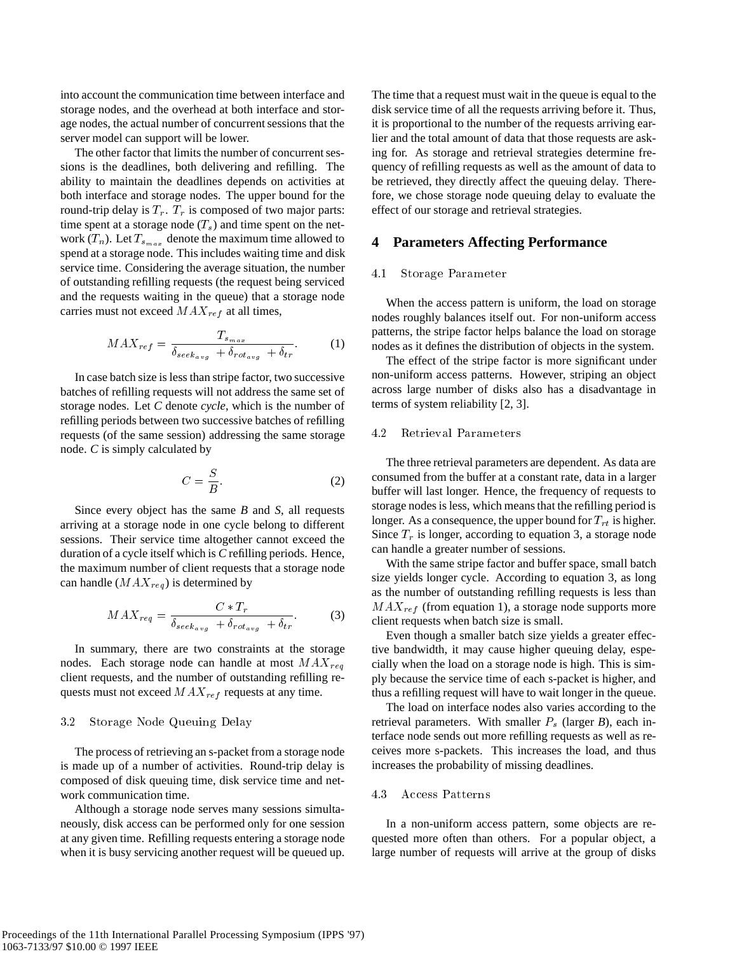into account the communication time between interface and storage nodes, and the overhead at both interface and storage nodes, the actual number of concurrent sessions that the server model can support will be lower.

The other factor that limits the number of concurrent sessions is the deadlines, both delivering and refilling. The ability to maintain the deadlines depends on activities at both interface and storage nodes. The upper bound for the round-trip delay is  $T_r$ .  $T_r$  is composed of two major parts: time spent at a storage node  $(T_s)$  and time spent on the network  $(T_n)$ . Let  $T_{s_{max}}$  denote the maximum time allowed to spend at a storage node. This includes waiting time and disk service time. Considering the average situation, the number of outstanding refilling requests (the request being serviced and the requests waiting in the queue) that a storage node carries must not exceed  $MAX_{ref}$  at all times,

$$
MAX_{ref} = \frac{T_{s_{max}}}{\delta_{seek_{avg}} + \delta_{rot_{avg}} + \delta_{tr}}.
$$
 (1)

In case batch size is less than stripe factor, two successive batches of refilling requests will not address the same set of storage nodes. Let *C* denote *cycle*, which is the number of refilling periods between two successive batches of refilling requests (of the same session) addressing the same storage node. *C* is simply calculated by

$$
C = \frac{S}{B}.\tag{2}
$$

Since every object has the same *B* and *S*, all requests arriving at a storage node in one cycle belong to different sessions. Their service time altogether cannot exceed the duration of a cycle itself which is *C* refilling periods. Hence, the maximum number of client requests that a storage node can handle  $(MAX_{req})$  is determined by

$$
MAX_{req} = \frac{C * T_r}{\delta_{seek_{avg}} + \delta_{rot_{avg}} + \delta_{tr}}.
$$
 (3)

In summary, there are two constraints at the storage nodes. Each storage node can handle at most  $MAX_{rea}$ client requests, and the number of outstanding refilling requests must not exceed  $MAX_{ref}$  requests at any time.

#### 3.2 Storage Node Queuing Delay

The process of retrieving an s-packet from a storage node is made up of a number of activities. Round-trip delay is composed of disk queuing time, disk service time and network communication time.

Although a storage node serves many sessions simultaneously, disk access can be performed only for one session at any given time. Refilling requests entering a storage node when it is busy servicing another request will be queued up.

The time that a request must wait in the queue is equal to the disk service time of all the requests arriving before it. Thus, it is proportional to the number of the requests arriving earlier and the total amount of data that those requests are asking for. As storage and retrieval strategies determine frequency of refilling requests as well as the amount of data to be retrieved, they directly affect the queuing delay. Therefore, we chose storage node queuing delay to evaluate the effect of our storage and retrieval strategies.

#### **4 Parameters Affecting Performance**

#### 4.1 Storage Parameter

When the access pattern is uniform, the load on storage nodes roughly balances itself out. For non-uniform access patterns, the stripe factor helps balance the load on storage nodes as it defines the distribution of objects in the system.

The effect of the stripe factor is more significant under non-uniform access patterns. However, striping an object across large number of disks also has a disadvantage in terms of system reliability [2, 3].

#### Retrieval Parameters 4.2

The three retrieval parameters are dependent. As data are consumed from the buffer at a constant rate, data in a larger buffer will last longer. Hence, the frequency of requests to storage nodes is less, which means that the refilling period is longer. As a consequence, the upper bound for  $T_{rt}$  is higher. Since  $T_r$  is longer, according to equation 3, a storage node can handle a greater number of sessions.

With the same stripe factor and buffer space, small batch size yields longer cycle. According to equation 3, as long as the number of outstanding refilling requests is less than  $MAX_{ref}$  (from equation 1), a storage node supports more client requests when batch size is small.

Even though a smaller batch size yields a greater effective bandwidth, it may cause higher queuing delay, especially when the load on a storage node is high. This is simply because the service time of each s-packet is higher, and thus a refilling request will have to wait longer in the queue.

The load on interface nodes also varies according to the retrieval parameters. With smaller  $P_s$  (larger  $B$ ), each interface node sends out more refilling requests as well as receives more s-packets. This increases the load, and thus increases the probability of missing deadlines.

#### 4.3 Access Patterns

In a non-uniform access pattern, some objects are requested more often than others. For a popular object, a large number of requests will arrive at the group of disks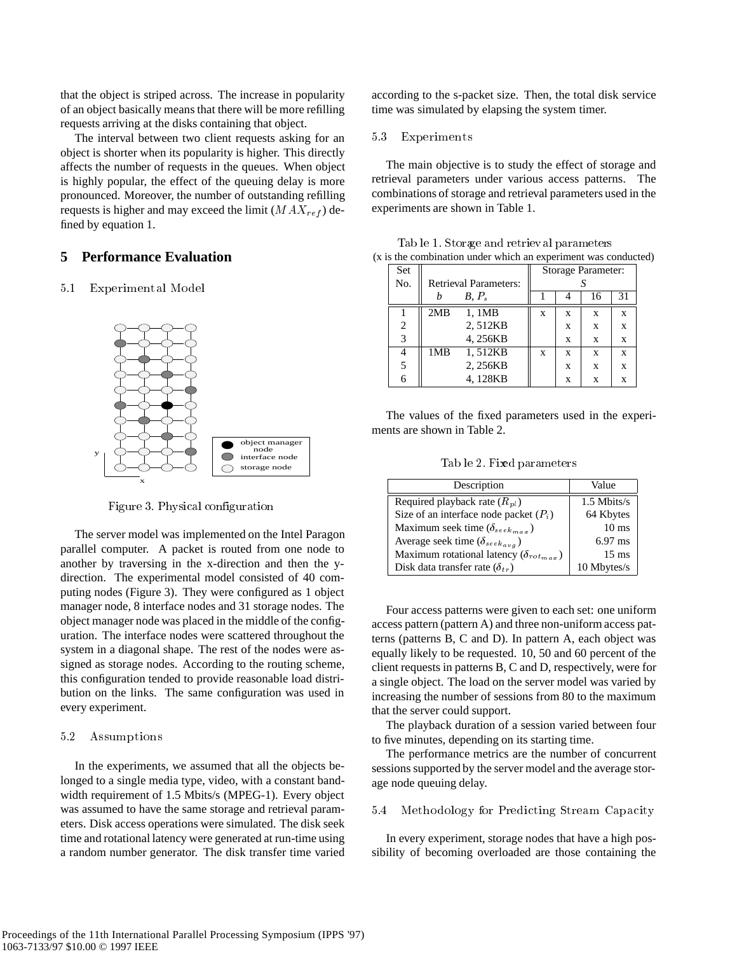that the object is striped across. The increase in popularity of an object basically means that there will be more refilling requests arriving at the disks containing that object.

The interval between two client requests asking for an object is shorter when its popularity is higher. This directly affects the number of requests in the queues. When object is highly popular, the effect of the queuing delay is more pronounced. Moreover, the number of outstanding refilling requests is higher and may exceed the limit  $(MAX_{ref})$  defined by equation 1.

# **5 Performance Evaluation**

#### $5.1$ 5.1 Experim ental Model



Figure 3. Physical configuration

The server model was implemented on the Intel Paragon parallel computer. A packet is routed from one node to another by traversing in the x-direction and then the ydirection. The experimental model consisted of 40 computing nodes (Figure 3). They were configured as 1 object manager node, 8 interface nodes and 31 storage nodes. The object manager node was placed in the middle of the configuration. The interface nodes were scattered throughout the system in a diagonal shape. The rest of the nodes were assigned as storage nodes. According to the routing scheme, this configuration tended to provide reasonable load distribution on the links. The same configuration was used in every experiment.

#### 5.2 Assumptions

In the experiments, we assumed that all the objects belonged to a single media type, video, with a constant bandwidth requirement of 1.5 Mbits/s (MPEG-1). Every object was assumed to have the same storage and retrieval parameters. Disk access operations were simulated. The disk seek time and rotational latency were generated at run-time using a random number generator. The disk transfer time varied according to the s-packet size. Then, the total disk service time was simulated by elapsing the system timer.

#### $5.3$ **Experiments**

The main objective is to study the effect of storage and retrieval parameters under various access patterns. The combinations of storage and retrieval parameters used in the experiments are shown in Table 1.

| Set            |                              | Storage Parameter: |   |   |    |    |
|----------------|------------------------------|--------------------|---|---|----|----|
| No.            | <b>Retrieval Parameters:</b> |                    |   |   |    |    |
|                |                              | $B, P_s$           |   |   | 16 | 31 |
|                | 2MB                          | 1, 1MB             | X | X | X  | X  |
| $\mathfrak{D}$ |                              | 2,512KB            |   | X | X  | X  |
| 3              |                              | 4,256KB            |   | X | X  | X  |
|                | 1MB                          | 1,512KB            | X | X | X  | X  |
|                |                              | 2,256KB            |   | X | X  | X  |
|                |                              | 4.128KB            |   | X | X  | X  |

Tab le 1. Storage and retriev al parameters (x is the combination under which an experiment was conducted)

The values of the fixed parameters used in the experiments are shown in Table 2.

Tab le 2. Fixed parameters

| Description                                         | Value            |
|-----------------------------------------------------|------------------|
| Required playback rate $(R_{pl})$                   | 1.5 Mbits/s      |
| Size of an interface node packet $(P_i)$            | 64 Kbytes        |
| Maximum seek time ( $\delta_{see k_{max}}$ )        | 10 <sub>ms</sub> |
| Average seek time ( $\delta_{see\, k_a\, v_a}$ )    | $6.97$ ms        |
| Maximum rotational latency ( $\delta_{rot_{max}}$ ) | $15 \text{ ms}$  |
| Disk data transfer rate $(\delta_{tr})$             | 10 Mbytes/s      |

Four access patterns were given to each set: one uniform access pattern (pattern A) and three non-uniform access patterns (patterns B, C and D). In pattern A, each object was equally likely to be requested. 10, 50 and 60 percent of the client requests in patterns B, C and D, respectively, were for a single object. The load on the server model was varied by increasing the number of sessions from 80 to the maximum that the server could support.

The playback duration of a session varied between four to five minutes, depending on its starting time.

The performance metrics are the number of concurrent sessions supported by the server model and the average storage node queuing delay.

### 5.4 Methodology for Predicting Stream Capacity

In every experiment, storage nodes that have a high possibility of becoming overloaded are those containing the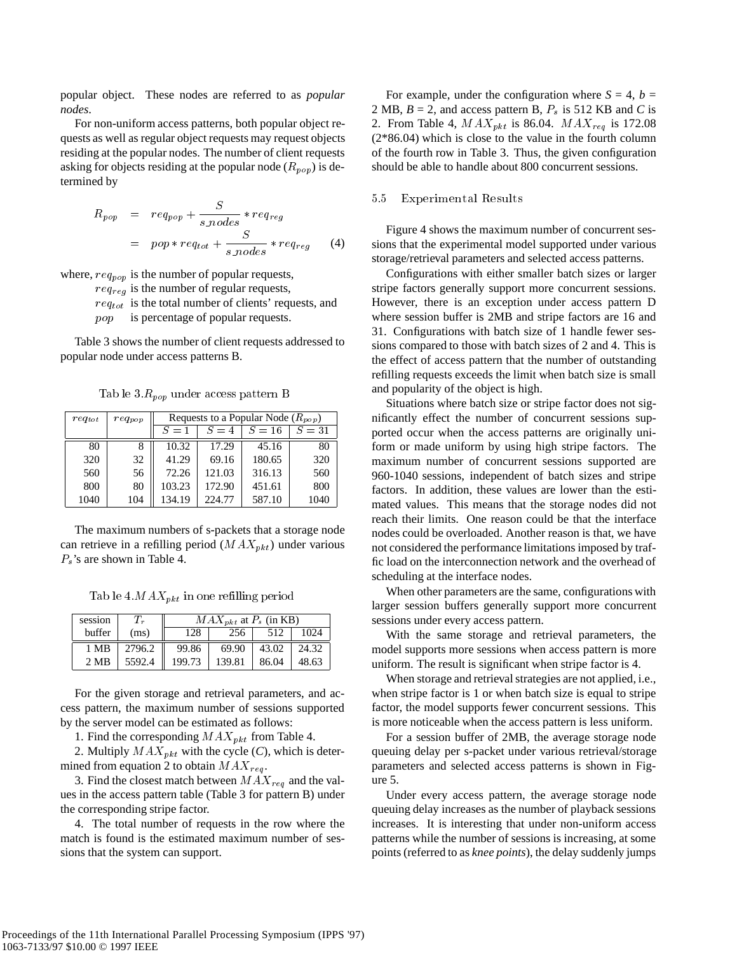popular object. These nodes are referred to as *popular nodes*.

For non-uniform access patterns, both popular object requests as well as regular object requests may request objects residing at the popular nodes. The number of client requests asking for objects residing at the popular node  $(R_{pop})$  is determined by

$$
R_{pop} = req_{pop} + \frac{S}{s\_nodes} * req_{reg}
$$
  
= pop \* req<sub>tot</sub> +  $\frac{S}{s\_nodes} * req_{reg}$  (4)

where,  $req_{pop}$  is the number of popular requests,

 $req_{reg}$  is the number of regular requests,

 $req_{tot}$  is the total number of clients' requests, and

pop is percentage of popular requests.

Table 3 shows the number of client requests addressed to popular node under access patterns B.

 $T = \nu \nu \nu$ 

| $req_{tot}$ | $req_{pop}$ | Requests to a Popular Node $(R_{pop})$ |        |        |        |  |
|-------------|-------------|----------------------------------------|--------|--------|--------|--|
|             |             | $S=1$                                  | $S=4$  | $S=16$ | $S=31$ |  |
| 80          |             | 10.32                                  | 17.29  | 45.16  | 80     |  |
| 320         | 32          | 41.29                                  | 69.16  | 180.65 | 320    |  |
| 560         | 56          | 72.26                                  | 121.03 | 316.13 | 560    |  |
| 800         | 80          | 103.23                                 | 172.90 | 451.61 | 800    |  |
| 1040        | 104         | 134.19                                 | 224.77 | 587.10 | 1040   |  |

The maximum numbers of s-packets that a storage node can retrieve in a refilling period  $(MAX_{pkt})$  under various  $P_s$ 's are shown in Table 4.

 $T$  is a letter in one refiling periodic periodic periodic periodic periodic periodic periodic periodic periodic periodic periodic periodic periodic periodic periodic periodic periodic periodic periodic periodic periodic

| session        | $I_{r}$ | $MAX_{pkt}$ at $P_s$ (in KB) |        |       |       |  |
|----------------|---------|------------------------------|--------|-------|-------|--|
| buffer         | (ms)    | 128                          |        | 512   | 024   |  |
| 1 MB           | 2796.2  | 99.86                        | 69.90  | 43.02 | 24.32 |  |
| $2 \text{ MR}$ | 5592.4  | 199.73                       | 139.81 | 86.04 | 48.63 |  |

For the given storage and retrieval parameters, and access pattern, the maximum number of sessions supported by the server model can be estimated as follows:

1. Find the corresponding  $MAX_{pkt}$  from Table 4.

2. Multiply  $MAX_{pkt}$  with the cycle (*C*), which is determined from equation 2 to obtain  $MAX_{req}$ .

3. Find the closest match between  $MAX_{req}$  and the values in the access pattern table (Table 3 for pattern B) under the corresponding stripe factor.

4. The total number of requests in the row where the match is found is the estimated maximum number of sessions that the system can support.

For example, under the configuration where  $S = 4$ ,  $b =$ 2 MB,  $B = 2$ , and access pattern B,  $P_s$  is 512 KB and *C* is 2. From Table 4,  $MAX_{pkt}$  is 86.04.  $MAX_{req}$  is 172.08 (2\*86.04) which is close to the value in the fourth column of the fourth row in Table 3. Thus, the given configuration should be able to handle about 800 concurrent sessions.

#### 5.5 Experimental Results

Figure 4 shows the maximum number of concurrent sessions that the experimental model supported under various storage/retrieval parameters and selected access patterns.

Configurations with either smaller batch sizes or larger stripe factors generally support more concurrent sessions. However, there is an exception under access pattern D where session buffer is 2MB and stripe factors are 16 and 31. Configurations with batch size of 1 handle fewer sessions compared to those with batch sizes of 2 and 4. This is the effect of access pattern that the number of outstanding refilling requests exceeds the limit when batch size is small and popularity of the object is high.

Situations where batch size or stripe factor does not significantly effect the number of concurrent sessions supported occur when the access patterns are originally uniform or made uniform by using high stripe factors. The maximum number of concurrent sessions supported are 960-1040 sessions, independent of batch sizes and stripe factors. In addition, these values are lower than the estimated values. This means that the storage nodes did not reach their limits. One reason could be that the interface nodes could be overloaded. Another reason is that, we have not considered the performance limitations imposed by traffic load on the interconnection network and the overhead of scheduling at the interface nodes.

When other parameters are the same, configurations with larger session buffers generally support more concurrent sessions under every access pattern.

With the same storage and retrieval parameters, the model supports more sessions when access pattern is more uniform. The result is significant when stripe factor is 4.

When storage and retrieval strategies are not applied, i.e., when stripe factor is 1 or when batch size is equal to stripe factor, the model supports fewer concurrent sessions. This is more noticeable when the access pattern is less uniform.

For a session buffer of 2MB, the average storage node queuing delay per s-packet under various retrieval/storage parameters and selected access patterns is shown in Figure 5.

Under every access pattern, the average storage node queuing delay increases as the number of playback sessions increases. It is interesting that under non-uniform access patterns while the number of sessions is increasing, at some points (referred to as *knee points*), the delay suddenly jumps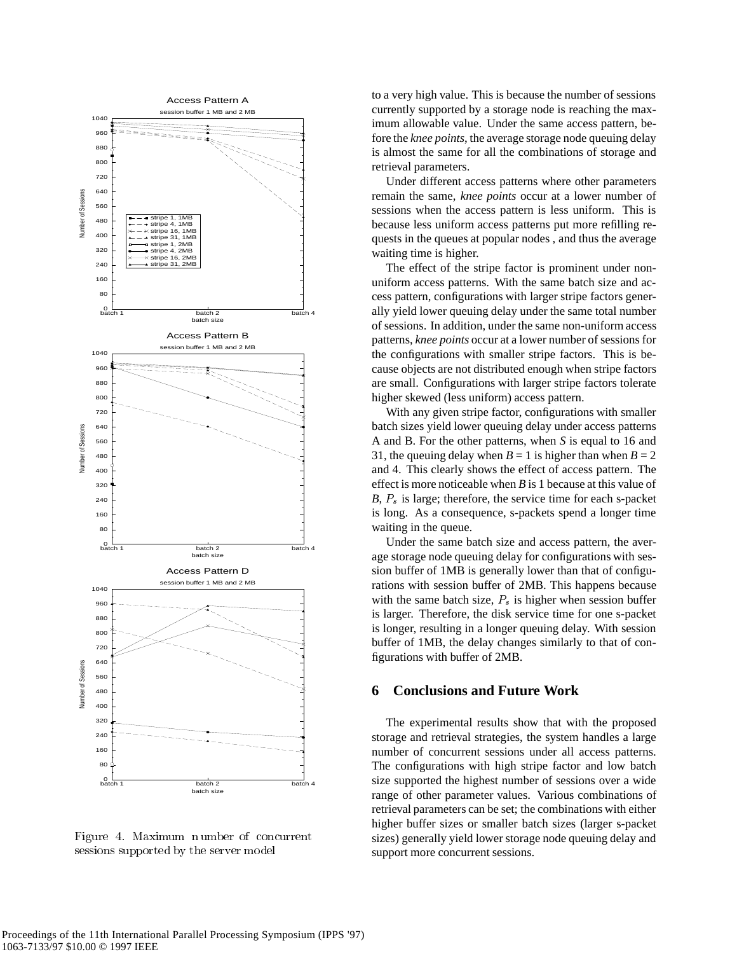

Figure 4. Maximum number of concurrent sessions supported by the server model

to a very high value. This is because the number of sessions currently supported by a storage node is reaching the maximum allowable value. Under the same access pattern, before the *knee points*, the average storage node queuing delay is almost the same for all the combinations of storage and retrieval parameters.

Under different access patterns where other parameters remain the same, *knee points* occur at a lower number of sessions when the access pattern is less uniform. This is because less uniform access patterns put more refilling requests in the queues at popular nodes , and thus the average waiting time is higher.

The effect of the stripe factor is prominent under nonuniform access patterns. With the same batch size and access pattern, configurations with larger stripe factors generally yield lower queuing delay under the same total number of sessions. In addition, under the same non-uniform access patterns, *knee points* occur at a lower number of sessions for the configurations with smaller stripe factors. This is because objects are not distributed enough when stripe factors are small. Configurations with larger stripe factors tolerate higher skewed (less uniform) access pattern.

With any given stripe factor, configurations with smaller batch sizes yield lower queuing delay under access patterns A and B. For the other patterns, when *S* is equal to 16 and 31, the queuing delay when  $B = 1$  is higher than when  $B = 2$ and 4. This clearly shows the effect of access pattern. The effect is more noticeable when *B* is 1 because at this value of *B*,  $P_s$  is large; therefore, the service time for each s-packet is long. As a consequence, s-packets spend a longer time waiting in the queue.

Under the same batch size and access pattern, the average storage node queuing delay for configurations with session buffer of 1MB is generally lower than that of configurations with session buffer of 2MB. This happens because with the same batch size,  $P_s$  is higher when session buffer is larger. Therefore, the disk service time for one s-packet is longer, resulting in a longer queuing delay. With session buffer of 1MB, the delay changes similarly to that of configurations with buffer of 2MB.

# **6 Conclusions and Future Work**

The experimental results show that with the proposed storage and retrieval strategies, the system handles a large number of concurrent sessions under all access patterns. The configurations with high stripe factor and low batch size supported the highest number of sessions over a wide range of other parameter values. Various combinations of retrieval parameters can be set; the combinations with either higher buffer sizes or smaller batch sizes (larger s-packet sizes) generally yield lower storage node queuing delay and support more concurrent sessions.